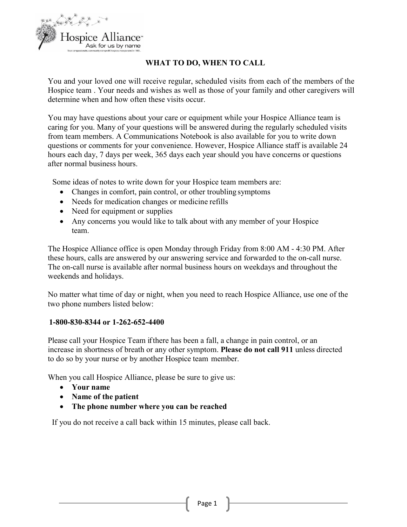

# **WHAT TO DO, WHEN TO CALL**

You and your loved one will receive regular, scheduled visits from each of the members of the Hospice team . Your needs and wishes as well as those of your family and other caregivers will determine when and how often these visits occur.

You may have questions about your care or equipment while your Hospice Alliance team is caring for you. Many of your questions will be answered during the regularly scheduled visits from team members. A Communications Notebook is also available for you to write down questions or comments for your convenience. However, Hospice Alliance staff is available 24 hours each day, 7 days per week, 365 days each year should you have concerns or questions after normal business hours.

Some ideas of notes to write down for your Hospice team members are:

- Changes in comfort, pain control, or other troubling symptoms
- Needs for medication changes or medicine refills
- Need for equipment or supplies
- Any concerns you would like to talk about with any member of your Hospice team.

The Hospice Alliance office is open Monday through Friday from 8:00 AM - 4:30 PM. After these hours, calls are answered by our answering service and forwarded to the on-call nurse. The on-call nurse is available after normal business hours on weekdays and throughout the weekends and holidays.

No matter what time of day or night, when you need to reach Hospice Alliance, use one of the two phone numbers listed below:

#### **1-800-830-8344 or 1-262-652-4400**

Please call your Hospice Team if there has been a fall, a change in pain control, or an increase in shortness of breath or any other symptom. **Please do not call 911** unless directed to do so by your nurse or by another Hospice team member.

When you call Hospice Alliance, please be sure to give us:

- **Your name**
- **Name of the patient**
- **The phone number where you can be reached**

If you do not receive a call back within 15 minutes, please call back.